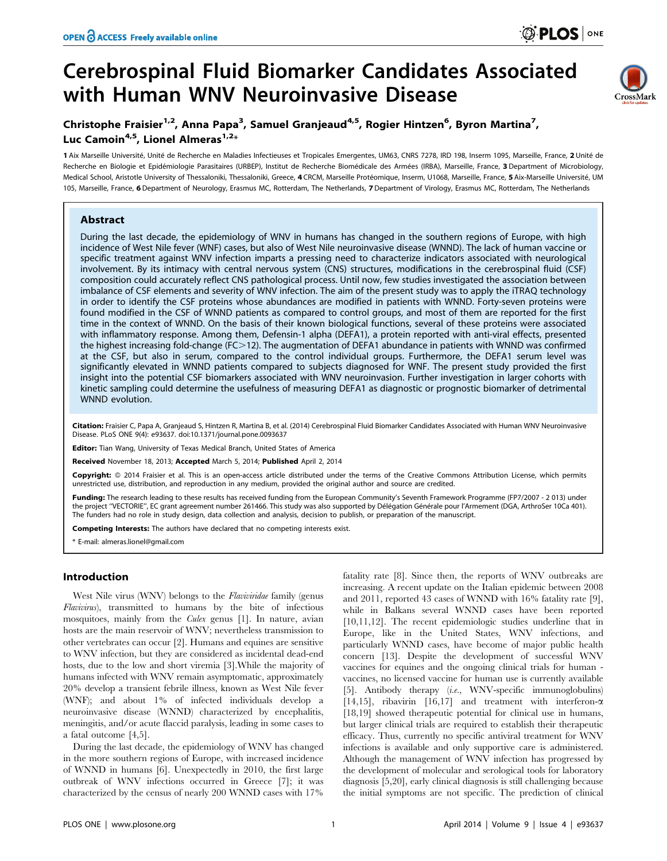# Cerebrospinal Fluid Biomarker Candidates Associated with Human WNV Neuroinvasive Disease



# Christophe Fraisier<sup>1,2</sup>, Anna Papa<sup>3</sup>, Samuel Granjeaud<sup>4,5</sup>, Rogier Hintzen<sup>6</sup>, Byron Martina<sup>7</sup>, Luc Camoin<sup>4,5</sup>, Lionel Almeras<sup>1,2\*</sup>

1 Aix Marseille Université, Unité de Recherche en Maladies Infectieuses et Tropicales Emergentes, UM63, CNRS 7278, IRD 198, Inserm 1095, Marseille, France, 2 Unité de Recherche en Biologie et Epidémiologie Parasitaires (URBEP), Institut de Recherche Biomédicale des Armées (IRBA), Marseille, France, 3 Department of Microbiology, Medical School, Aristotle University of Thessaloniki, Thessaloniki, Greece, 4 CRCM, Marseille Protéomique, Inserm, U1068, Marseille, France, 5 Aix-Marseille Université, UM 105, Marseille, France, 6 Department of Neurology, Erasmus MC, Rotterdam, The Netherlands, 7 Department of Virology, Erasmus MC, Rotterdam, The Netherlands

# Abstract

During the last decade, the epidemiology of WNV in humans has changed in the southern regions of Europe, with high incidence of West Nile fever (WNF) cases, but also of West Nile neuroinvasive disease (WNND). The lack of human vaccine or specific treatment against WNV infection imparts a pressing need to characterize indicators associated with neurological involvement. By its intimacy with central nervous system (CNS) structures, modifications in the cerebrospinal fluid (CSF) composition could accurately reflect CNS pathological process. Until now, few studies investigated the association between imbalance of CSF elements and severity of WNV infection. The aim of the present study was to apply the iTRAQ technology in order to identify the CSF proteins whose abundances are modified in patients with WNND. Forty-seven proteins were found modified in the CSF of WNND patients as compared to control groups, and most of them are reported for the first time in the context of WNND. On the basis of their known biological functions, several of these proteins were associated with inflammatory response. Among them, Defensin-1 alpha (DEFA1), a protein reported with anti-viral effects, presented the highest increasing fold-change (FC>12). The augmentation of DEFA1 abundance in patients with WNND was confirmed at the CSF, but also in serum, compared to the control individual groups. Furthermore, the DEFA1 serum level was significantly elevated in WNND patients compared to subjects diagnosed for WNF. The present study provided the first insight into the potential CSF biomarkers associated with WNV neuroinvasion. Further investigation in larger cohorts with kinetic sampling could determine the usefulness of measuring DEFA1 as diagnostic or prognostic biomarker of detrimental WNND evolution.

Citation: Fraisier C, Papa A, Granjeaud S, Hintzen R, Martina B, et al. (2014) Cerebrospinal Fluid Biomarker Candidates Associated with Human WNV Neuroinvasive Disease. PLoS ONE 9(4): e93637. doi:10.1371/journal.pone.0093637

**Editor:** Tian Wang, University of Texas Medical Branch, United States of America

Received November 18, 2013; Accepted March 5, 2014; Published April 2, 2014

Copyright: © 2014 Fraisier et al. This is an open-access article distributed under the terms of the [Creative Commons Attribution License](http://creativecommons.org/licenses/by/4.0/), which permits unrestricted use, distribution, and reproduction in any medium, provided the original author and source are credited.

Funding: The research leading to these results has received funding from the European Community's Seventh Framework Programme (FP7/2007 - 2 013) under the project "VECTORIE", EC grant agreement number 261466. This study was also supported by Délégation Générale pour l'Armement (DGA, ArthroSer 10Ca 401). The funders had no role in study design, data collection and analysis, decision to publish, or preparation of the manuscript.

Competing Interests: The authors have declared that no competing interests exist.

\* E-mail: almeras.lionel@gmail.com

# Introduction

West Nile virus (WNV) belongs to the *Flaviviridae* family (genus Flavivirus), transmitted to humans by the bite of infectious mosquitoes, mainly from the Culex genus [1]. In nature, avian hosts are the main reservoir of WNV; nevertheless transmission to other vertebrates can occur [2]. Humans and equines are sensitive to WNV infection, but they are considered as incidental dead-end hosts, due to the low and short viremia [3].While the majority of humans infected with WNV remain asymptomatic, approximately 20% develop a transient febrile illness, known as West Nile fever (WNF); and about 1% of infected individuals develop a neuroinvasive disease (WNND) characterized by encephalitis, meningitis, and/or acute flaccid paralysis, leading in some cases to a fatal outcome [4,5].

During the last decade, the epidemiology of WNV has changed in the more southern regions of Europe, with increased incidence of WNND in humans [6]. Unexpectedly in 2010, the first large outbreak of WNV infections occurred in Greece [7]; it was characterized by the census of nearly 200 WNND cases with 17% fatality rate [8]. Since then, the reports of WNV outbreaks are increasing. A recent update on the Italian epidemic between 2008 and 2011, reported 43 cases of WNND with 16% fatality rate [9], while in Balkans several WNND cases have been reported [10,11,12]. The recent epidemiologic studies underline that in Europe, like in the United States, WNV infections, and particularly WNND cases, have become of major public health concern [13]. Despite the development of successful WNV vaccines for equines and the ongoing clinical trials for human vaccines, no licensed vaccine for human use is currently available [5]. Antibody therapy (i.e., WNV-specific immunoglobulins) [14,15], ribavirin [16,17] and treatment with interferon- $\alpha$ [18,19] showed therapeutic potential for clinical use in humans, but larger clinical trials are required to establish their therapeutic efficacy. Thus, currently no specific antiviral treatment for WNV infections is available and only supportive care is administered. Although the management of WNV infection has progressed by the development of molecular and serological tools for laboratory diagnosis [5,20], early clinical diagnosis is still challenging because the initial symptoms are not specific. The prediction of clinical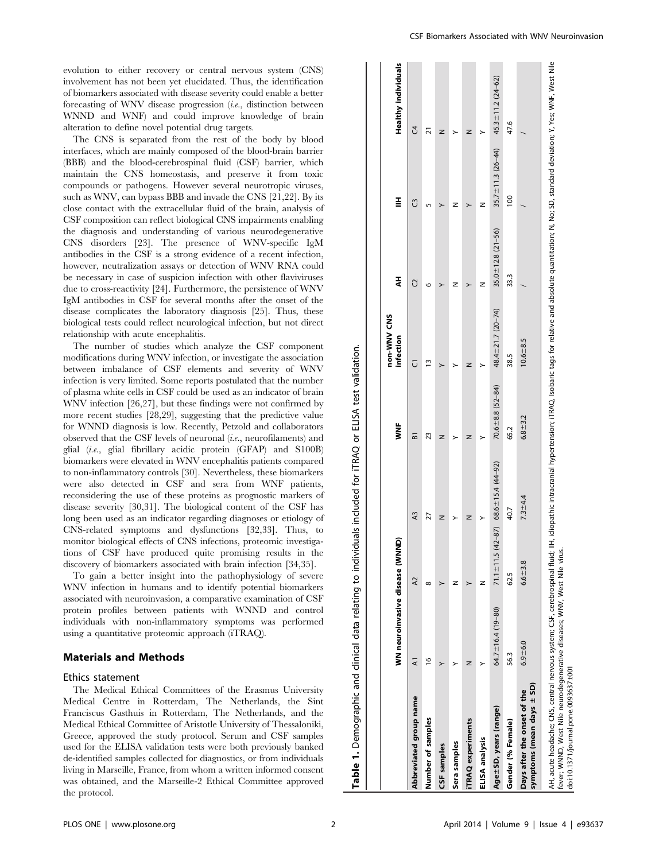evolution to either recovery or central nervous system (CNS) involvement has not been yet elucidated. Thus, the identification of biomarkers associated with disease severity could enable a better forecasting of WNV disease progression (i.e., distinction between WNND and WNF) and could improve knowledge of brain alteration to define novel potential drug targets.

The CNS is separated from the rest of the body by blood interfaces, which are mainly composed of the blood-brain barrier (BBB) and the blood-cerebrospinal fluid (CSF) barrier, which maintain the CNS homeostasis, and preserve it from toxic compounds or pathogens. However several neurotropic viruses, such as WNV, can bypass BBB and invade the CNS [21,22]. By its close contact with the extracellular fluid of the brain, analysis of CSF composition can reflect biological CNS impairments enabling the diagnosis and understanding of various neurodegenerative CNS disorders [23]. The presence of WNV-specific IgM antibodies in the CSF is a strong evidence of a recent infection, however, neutralization assays or detection of WNV RNA could be necessary in case of suspicion infection with other flaviviruses due to cross-reactivity [24]. Furthermore, the persistence of WNV IgM antibodies in CSF for several months after the onset of the disease complicates the laboratory diagnosis [25]. Thus, these biological tests could reflect neurological infection, but not direct relationship with acute encephalitis.

The number of studies which analyze the CSF component modifications during WNV infection, or investigate the association between imbalance of CSF elements and severity of WNV infection is very limited. Some reports postulated that the number of plasma white cells in CSF could be used as an indicator of brain WNV infection [26,27], but these findings were not confirmed by more recent studies [28,29], suggesting that the predictive value for WNND diagnosis is low. Recently, Petzold and collaborators observed that the CSF levels of neuronal (i.e., neurofilaments) and glial (i.e., glial fibrillary acidic protein (GFAP) and S100B) biomarkers were elevated in WNV encephalitis patients compared to non-inflammatory controls [30]. Nevertheless, these biomarkers were also detected in CSF and sera from WNF patients, reconsidering the use of these proteins as prognostic markers of disease severity [30,31]. The biological content of the CSF has long been used as an indicator regarding diagnoses or etiology of CNS-related symptoms and dysfunctions [32,33]. Thus, to monitor biological effects of CNS infections, proteomic investigations of CSF have produced quite promising results in the discovery of biomarkers associated with brain infection [34,35].

To gain a better insight into the pathophysiology of severe WNV infection in humans and to identify potential biomarkers associated with neuroinvasion, a comparative examination of CSF protein profiles between patients with WNND and control individuals with non-inflammatory symptoms was performed using a quantitative proteomic approach (iTRAQ).

# Materials and Methods

#### Ethics statement

The Medical Ethical Committees of the Erasmus University Medical Centre in Rotterdam, The Netherlands, the Sint Franciscus Gasthuis in Rotterdam, The Netherlands, and the Medical Ethical Committee of Aristotle University of Thessaloniki, Greece, approved the study protocol. Serum and CSF samples used for the ELISA validation tests were both previously banked de-identified samples collected for diagnostics, or from individuals living in Marseille, France, from whom a written informed consent was obtained, and the Marseille-2 Ethical Committee approved the protocol.

|                                                          |                                 |                                         |             |                        | non-WNV CNS         |                         |                         |                            |
|----------------------------------------------------------|---------------------------------|-----------------------------------------|-------------|------------------------|---------------------|-------------------------|-------------------------|----------------------------|
|                                                          | WN neuroinvasive disease (WNND) |                                         |             | Š                      | infection           | ミ                       | l                       | <b>Healthy individuals</b> |
| ₹<br>Abbreviated group name                              |                                 | $\lambda$                               | A3          | ៜ                      |                     | G                       | C                       | J                          |
| ڡ<br>Number of samples                                   |                                 | $\infty$                                | 21          | 23                     | m                   | ١O                      |                         |                            |
| CSF samples                                              |                                 |                                         | z           | z                      |                     |                         |                         | z                          |
| Sera samples                                             |                                 | z                                       |             |                        |                     |                         | z                       |                            |
| z<br><b>iTRAQ</b> experiments                            |                                 |                                         | z           | z                      | z                   |                         |                         | z                          |
| ELISA analysis                                           |                                 | z                                       | >           |                        | ≻                   | z                       | z                       | >                          |
| Age ± SD, years (range)                                  | 64.7 $\pm$ 16.4 (19-80)         | 71.1 ± 11.5 (42-87) 68.6 ± 15.4 (44-92) |             | $70.6 \pm 8.8$ (52-84) | 48.4 ± 21.7 (20-74) | $35.0 \pm 12.8$ (21-56) | $35.7 \pm 11.3$ (26-44) | $45.3 \pm 11.2 (24 - 62)$  |
| 56.3<br>Gender (% Female)                                |                                 | 62.5                                    | 40.7        | 65.2                   | 38.5                | 33.3                    | $\overline{0}$          | 47.6                       |
| symptoms (mean days ± SD)<br>Days after the onset of the | $6.9 - 6.0$                     | $6.6 + 3.8$                             | $7.3 - 4.4$ | $6.8 + 3.2$            | $10.6 + 8.5$        |                         |                         |                            |

fever; WNND, West Nile neurodegenerative diseases; WNV, West Nile virus. virus.  $\frac{6}{5}$ West Š<br>Š ë diseas neurodegenei doi:10.1371/journal.pone.0093637.t001 doi:10.1371/journal.pone.0093637.t001 West Nile WNND, tever;

Table 1. Demographic and clinical data relating to individuals included for iTRAQ or ELISA test validation.

Demographic and clinical data relating to individuals included for iTRAQ or

 $\div$  $\overline{\mathbf{v}}$ Tabl

ELISA test validation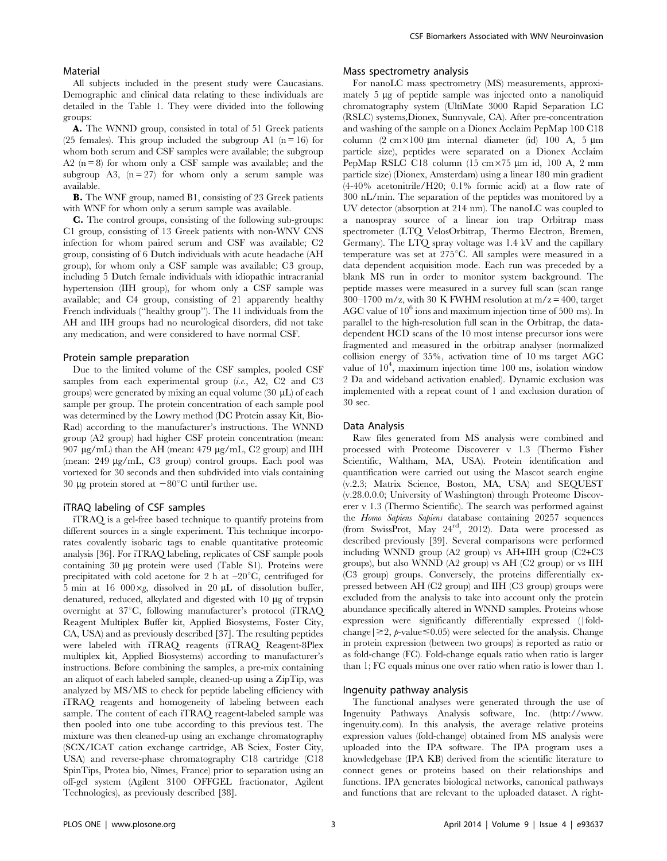#### Material

All subjects included in the present study were Caucasians. Demographic and clinical data relating to these individuals are detailed in the Table 1. They were divided into the following groups:

A. The WNND group, consisted in total of 51 Greek patients (25 females). This group included the subgroup A1 ( $n = 16$ ) for whom both serum and CSF samples were available; the subgroup A2  $(n=8)$  for whom only a CSF sample was available; and the subgroup A3,  $(n=27)$  for whom only a serum sample was available.

B. The WNF group, named B1, consisting of 23 Greek patients with WNF for whom only a serum sample was available.

C. The control groups, consisting of the following sub-groups: C1 group, consisting of 13 Greek patients with non-WNV CNS infection for whom paired serum and CSF was available; C2 group, consisting of 6 Dutch individuals with acute headache (AH group), for whom only a CSF sample was available; C3 group, including 5 Dutch female individuals with idiopathic intracranial hypertension (IIH group), for whom only a CSF sample was available; and C4 group, consisting of 21 apparently healthy French individuals (''healthy group''). The 11 individuals from the AH and IIH groups had no neurological disorders, did not take any medication, and were considered to have normal CSF.

#### Protein sample preparation

Due to the limited volume of the CSF samples, pooled CSF samples from each experimental group  $(i.e., A2, C2, and C3)$ groups) were generated by mixing an equal volume  $(30 \mu L)$  of each sample per group. The protein concentration of each sample pool was determined by the Lowry method (DC Protein assay Kit, Bio-Rad) according to the manufacturer's instructions. The WNND group (A2 group) had higher CSF protein concentration (mean: 907 mg/mL) than the AH (mean: 479 mg/mL, C2 group) and IIH (mean: 249 mg/mL, C3 group) control groups. Each pool was vortexed for 30 seconds and then subdivided into vials containing 30 µg protein stored at  $-80^{\circ}$ C until further use.

#### iTRAQ labeling of CSF samples

iTRAQ is a gel-free based technique to quantify proteins from different sources in a single experiment. This technique incorporates covalently isobaric tags to enable quantitative proteomic analysis [36]. For iTRAQ labeling, replicates of CSF sample pools containing 30 µg protein were used (Table S1). Proteins were precipitated with cold acetone for 2 h at  $-20^{\circ}$ C, centrifuged for 5 min at 16 000 $\times$ g, dissolved in 20 µL of dissolution buffer, denatured, reduced, alkylated and digested with  $10 \mu$ g of trypsin overnight at 37°C, following manufacturer's protocol (iTRAQ) Reagent Multiplex Buffer kit, Applied Biosystems, Foster City, CA, USA) and as previously described [37]. The resulting peptides were labeled with iTRAQ reagents (iTRAQ Reagent-8Plex multiplex kit, Applied Biosystems) according to manufacturer's instructions. Before combining the samples, a pre-mix containing an aliquot of each labeled sample, cleaned-up using a ZipTip, was analyzed by MS/MS to check for peptide labeling efficiency with iTRAQ reagents and homogeneity of labeling between each sample. The content of each iTRAQ reagent-labeled sample was then pooled into one tube according to this previous test. The mixture was then cleaned-up using an exchange chromatography (SCX/ICAT cation exchange cartridge, AB Sciex, Foster City, USA) and reverse-phase chromatography C18 cartridge (C18 SpinTips, Protea bio, Nîmes, France) prior to separation using an off-gel system (Agilent 3100 OFFGEL fractionator, Agilent Technologies), as previously described [38].

# Mass spectrometry analysis

For nanoLC mass spectrometry (MS) measurements, approximately 5 µg of peptide sample was injected onto a nanoliquid chromatography system (UltiMate 3000 Rapid Separation LC (RSLC) systems,Dionex, Sunnyvale, CA). After pre-concentration and washing of the sample on a Dionex Acclaim PepMap 100 C18 column  $(2 \text{ cm} \times 100 \text{ µm}$  internal diameter (id) 100 A, 5  $\mu$ m particle size), peptides were separated on a Dionex Acclaim PepMap RSLC C18 column  $(15 \text{ cm} \times 75 \text{ }\mu\text{m} \text{ id}, 100 \text{ A}, 2 \text{ mm})$ particle size) (Dionex, Amsterdam) using a linear 180 min gradient (4-40% acetonitrile/H20; 0.1% formic acid) at a flow rate of 300 nL/min. The separation of the peptides was monitored by a UV detector (absorption at 214 nm). The nanoLC was coupled to a nanospray source of a linear ion trap Orbitrap mass spectrometer (LTQ VelosOrbitrap, Thermo Electron, Bremen, Germany). The LTQ spray voltage was 1.4 kV and the capillary temperature was set at  $275^{\circ}$ C. All samples were measured in a data dependent acquisition mode. Each run was preceded by a blank MS run in order to monitor system background. The peptide masses were measured in a survey full scan (scan range  $300-1700$  m/z, with 30 K FWHM resolution at m/z = 400, target AGC value of  $10^6$  ions and maximum injection time of 500 ms). In parallel to the high-resolution full scan in the Orbitrap, the datadependent HCD scans of the 10 most intense precursor ions were fragmented and measured in the orbitrap analyser (normalized collision energy of 35%, activation time of 10 ms target AGC value of  $10^4$ , maximum injection time 100 ms, isolation window 2 Da and wideband activation enabled). Dynamic exclusion was implemented with a repeat count of 1 and exclusion duration of 30 sec.

#### Data Analysis

Raw files generated from MS analysis were combined and processed with Proteome Discoverer v 1.3 (Thermo Fisher Scientific, Waltham, MA, USA). Protein identification and quantification were carried out using the Mascot search engine (v.2.3; Matrix Science, Boston, MA, USA) and SEQUEST (v.28.0.0.0; University of Washington) through Proteome Discoverer v 1.3 (Thermo Scientific). The search was performed against the Homo Sapiens Sapiens database containing 20257 sequences (from SwissProt, May 24rd, 2012). Data were processed as described previously [39]. Several comparisons were performed including WNND group (A2 group) vs AH+IIH group (C2+C3 groups), but also WNND (A2 group) vs AH (C2 group) or vs IIH (C3 group) groups. Conversely, the proteins differentially expressed between AH (C2 group) and IIH (C3 group) groups were excluded from the analysis to take into account only the protein abundance specifically altered in WNND samples. Proteins whose expression were significantly differentially expressed (|foldchange  $|\geq 2$ , p-value  $\leq 0.05$ ) were selected for the analysis. Change in protein expression (between two groups) is reported as ratio or as fold-change (FC). Fold-change equals ratio when ratio is larger than 1; FC equals minus one over ratio when ratio is lower than 1.

#### Ingenuity pathway analysis

The functional analyses were generated through the use of Ingenuity Pathways Analysis software, Inc. (http://www. ingenuity.com). In this analysis, the average relative proteins expression values (fold-change) obtained from MS analysis were uploaded into the IPA software. The IPA program uses a knowledgebase (IPA KB) derived from the scientific literature to connect genes or proteins based on their relationships and functions. IPA generates biological networks, canonical pathways and functions that are relevant to the uploaded dataset. A right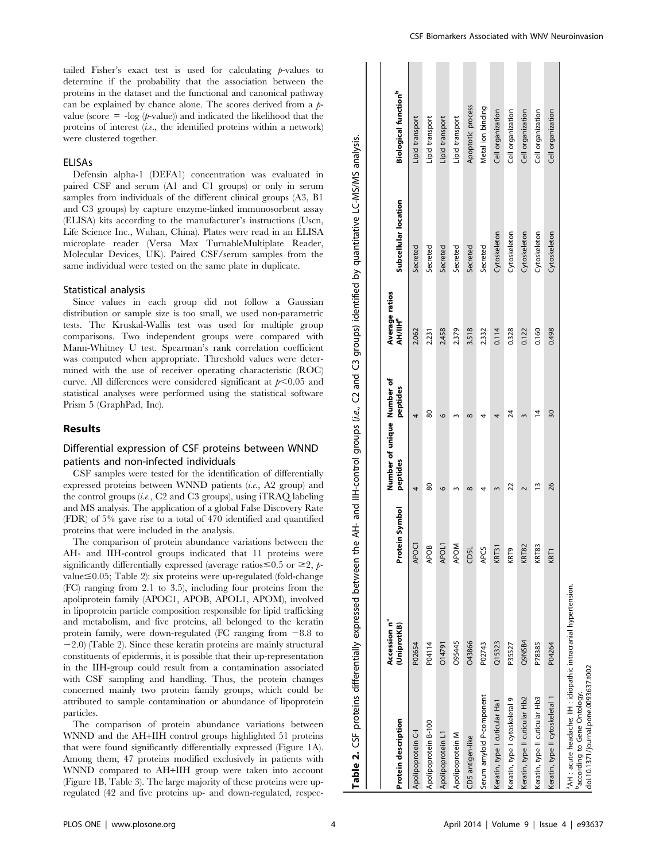tailed Fisher's exact test is used for calculating  $p$ -values to determine if the probability that the association between the proteins in the dataset and the functional and canonical pathway can be explained by chance alone. The scores derived from a  $p$ value (score  $= -\log (p\text{-value})$ ) and indicated the likelihood that the proteins of interest  $(i.e.,$  the identified proteins within a network) were clustered together.

#### ELISAs

Defensin alpha-1 (DEFA1) concentration was evaluated in paired CSF and serum (A1 and C1 groups) or only in serum samples from individuals of the different clinical groups (A3, B1 and C3 groups) by capture enzyme-linked immunosorbent assay (ELISA) kits according to the manufacturer's instructions (Uscn, Life Science Inc., Wuhan, China). Plates were read in an ELISA microplate reader (Versa Max TurnableMultiplate Reader, Molecular Devices, UK). Paired CSF/serum samples from the same individual were tested on the same plate in duplicate.

#### Statistical analysis

Since values in each group did not follow a Gaussian distribution or sample size is too small, we used non-parametric tests. The Kruskal-Wallis test was used for multiple group comparisons. Two independent groups were compared with Mann-Whitney U test. Spearman's rank correlation coefficient was computed when appropriate. Threshold values were determined with the use of receiver operating characteristic (ROC) curve. All differences were considered significant at  $p<0.05$  and statistical analyses were performed using the statistical software Prism 5 (GraphPad, Inc).

#### Results

# Differential expression of CSF proteins between WNND patients and non-infected individuals

CSF samples were tested for the identification of differentially expressed proteins between WNND patients (i.e., A2 group) and the control groups  $(i.e., C2 \text{ and } C3 \text{ groups})$ , using iTRAO labeling and MS analysis. The application of a global False Discovery Rate (FDR) of 5% gave rise to a total of 470 identified and quantified proteins that were included in the analysis.

The comparison of protein abundance variations between the AH- and IIH-control groups indicated that 11 proteins were significantly differentially expressed (average ratios  $\leq 0.5$  or  $\geq 2$ , pvalue  $\leq$  0.05; Table 2): six proteins were up-regulated (fold-change (FC) ranging from 2.1 to 3.5), including four proteins from the apoliprotein family (APOC1, APOB, APOL1, APOM), involved in lipoprotein particle composition responsible for lipid trafficking and metabolism, and five proteins, all belonged to the keratin protein family, were down-regulated (FC ranging from  $-8.8$  to  $-2.0$ ) (Table 2). Since these keratin proteins are mainly structural constituents of epidermis, it is possible that their up-representation in the IIH-group could result from a contamination associated with CSF sampling and handling. Thus, the protein changes concerned mainly two protein family groups, which could be attributed to sample contamination or abundance of lipoprotein particles.

The comparison of protein abundance variations between WNND and the AH+IIH control groups highlighted 51 proteins that were found significantly differentially expressed (Figure 1A). Among them, 47 proteins modified exclusively in patients with WNND compared to AH+IIH group were taken into account (Figure 1B, Table 3). The large majority of these proteins were upregulated (42 and five proteins up- and down-regulated, respec-

| Protein description                                                                                                                                                | Accession n°<br>(UniprotKB) | Symbol<br>Proteil | Number of unique Number of<br>peptides | peptides | <b>Average ratios</b><br>АНЛІН° | Subcellular location | <b>Biological function</b> b |
|--------------------------------------------------------------------------------------------------------------------------------------------------------------------|-----------------------------|-------------------|----------------------------------------|----------|---------------------------------|----------------------|------------------------------|
| Apolipoprotein C-I                                                                                                                                                 | P02654                      | APOC1             |                                        | 4        | 2.062                           | Secreted             | Lipid transport              |
| Apolipoprotein B-100                                                                                                                                               | P04114                      | <b>APOB</b>       | 80                                     | 80       | 2.231                           | Secreted             | -ipid transport              |
| Apolipoprotein L1                                                                                                                                                  | O14791                      | APOL1             | G                                      | O        | 2.458                           | Secreted             | Lipid transport              |
| Apolipoprotein M                                                                                                                                                   | O95445                      | <b>APOM</b>       |                                        |          | 2.379                           | Secreted             | Lipid transport              |
| CD5 antigen-like                                                                                                                                                   | <b>043866</b>               | CD5L              | $^{\circ}$                             | $\infty$ | 3.518                           | Secreted             | Apoptotic process            |
| Serum amyloid P-component                                                                                                                                          | P02743                      | <b>APCS</b>       |                                        |          | 2.332                           | Secreted             | Metal ion binding            |
| Keratin, type I cuticular Ha1                                                                                                                                      | Q15323                      | <b>KRT31</b>      |                                        |          | 0.114                           | Cytoskeleton         | Cell organization            |
| Keratin, type I cytoskeletal 9                                                                                                                                     | P35527                      | KR <sub>T9</sub>  | 22                                     | 24       | 0.328                           | Cytoskeleton         | Cell organization            |
| Keratin, type II cuticular Hb2                                                                                                                                     | Q9NSB4                      | <b>KRT82</b>      |                                        |          | 0.122                           | Cytoskeleton         | Cell organization            |
| Keratin, type II cuticular Hb3                                                                                                                                     | P78385                      | <b>KRT83</b>      | m                                      | 4        | 0.160                           | Cytoskeleton         | Cell organization            |
| Keratin, type II cytoskeletal 1                                                                                                                                    | P04264                      | KRT1              | 26                                     | 30       | 0.498                           | Cytoskeleton         | Cell organization            |
| <sup>a</sup> AH : acute headache; IIH : idiopathic intracranial hypertension.<br>doi:10.1371/journal.pone.0093637.t002<br><sup>b</sup> according to Gene Ontology. |                             |                   |                                        |          |                                 |                      |                              |

Table :

Table 2. CSF proteins differentially expressed between the AH- and IIH-control groups (i.e., C2 and C3 groups) identified by quantitative LC-MS/MS analysis.

2. CSF proteins differentially expressed between the AH- and IIH-control groups (i.e., C2 and C3

groups) identified by quantitative LC-MS/MS analysis.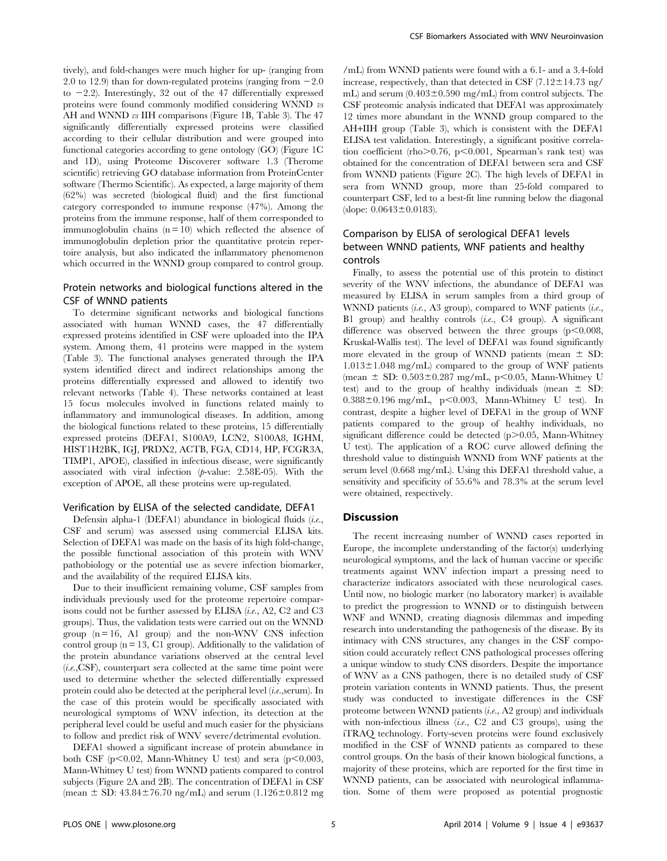tively), and fold-changes were much higher for up- (ranging from 2.0 to 12.9) than for down-regulated proteins (ranging from  $-2.0$ to  $-2.2$ ). Interestingly, 32 out of the 47 differentially expressed proteins were found commonly modified considering WNND vs AH and WNND vs IIH comparisons (Figure 1B, Table 3). The 47 significantly differentially expressed proteins were classified according to their cellular distribution and were grouped into functional categories according to gene ontology (GO) (Figure 1C and 1D), using Proteome Discoverer software 1.3 (Therome scientific) retrieving GO database information from ProteinCenter software (Thermo Scientific). As expected, a large majority of them (62%) was secreted (biological fluid) and the first functional category corresponded to immune response (47%). Among the proteins from the immune response, half of them corresponded to immunoglobulin chains  $(n = 10)$  which reflected the absence of immunoglobulin depletion prior the quantitative protein repertoire analysis, but also indicated the inflammatory phenomenon which occurred in the WNND group compared to control group.

# Protein networks and biological functions altered in the CSF of WNND patients

To determine significant networks and biological functions associated with human WNND cases, the 47 differentially expressed proteins identified in CSF were uploaded into the IPA system. Among them, 41 proteins were mapped in the system (Table 3). The functional analyses generated through the IPA system identified direct and indirect relationships among the proteins differentially expressed and allowed to identify two relevant networks (Table 4). These networks contained at least 15 focus molecules involved in functions related mainly to inflammatory and immunological diseases. In addition, among the biological functions related to these proteins, 15 differentially expressed proteins (DEFA1, S100A9, LCN2, S100A8, IGHM, HIST1H2BK, IGJ, PRDX2, ACTB, FGA, CD14, HP, FCGR3A, TIMP1, APOE), classified in infectious disease, were significantly associated with viral infection  $(p$ -value: 2.58E-05). With the exception of APOE, all these proteins were up-regulated.

#### Verification by ELISA of the selected candidate, DEFA1

Defensin alpha-1 (DEFA1) abundance in biological fluids  $(i.e.,$ CSF and serum) was assessed using commercial ELISA kits. Selection of DEFA1 was made on the basis of its high fold-change, the possible functional association of this protein with WNV pathobiology or the potential use as severe infection biomarker, and the availability of the required ELISA kits.

Due to their insufficient remaining volume, CSF samples from individuals previously used for the proteome repertoire comparisons could not be further assessed by ELISA (i.e., A2, C2 and C3 groups). Thus, the validation tests were carried out on the WNND group  $(n = 16, A1$  group) and the non-WNV CNS infection control group ( $n = 13$ , C1 group). Additionally to the validation of the protein abundance variations observed at the central level  $(i.e., \text{CSF})$ , counterpart sera collected at the same time point were used to determine whether the selected differentially expressed protein could also be detected at the peripheral level (i.e.,serum). In the case of this protein would be specifically associated with neurological symptoms of WNV infection, its detection at the peripheral level could be useful and much easier for the physicians to follow and predict risk of WNV severe/detrimental evolution.

DEFA1 showed a significant increase of protein abundance in both CSF ( $p<0.02$ , Mann-Whitney U test) and sera ( $p<0.003$ , Mann-Whitney U test) from WNND patients compared to control subjects (Figure 2A and 2B). The concentration of DEFA1 in CSF (mean  $\pm$  SD: 43.84 $\pm$ 76.70 ng/mL) and serum (1.126 $\pm$ 0.812 mg /mL) from WNND patients were found with a 6.1- and a 3.4-fold increase, respectively, than that detected in CSF  $(7.12 \pm 14.73$  ng/ mL) and serum  $(0.403\pm0.590$  mg/mL) from control subjects. The CSF proteomic analysis indicated that DEFA1 was approximately 12 times more abundant in the WNND group compared to the AH+IIH group (Table 3), which is consistent with the DEFA1 ELISA test validation. Interestingly, a significant positive correlation coefficient (rho $> 0.76$ , p $< 0.001$ , Spearman's rank test) was obtained for the concentration of DEFA1 between sera and CSF from WNND patients (Figure 2C). The high levels of DEFA1 in sera from WNND group, more than 25-fold compared to counterpart CSF, led to a best-fit line running below the diagonal (slope:  $0.0643 \pm 0.0183$ ).

# Comparison by ELISA of serological DEFA1 levels between WNND patients, WNF patients and healthy controls

Finally, to assess the potential use of this protein to distinct severity of the WNV infections, the abundance of DEFA1 was measured by ELISA in serum samples from a third group of WNND patients (i.e., A3 group), compared to WNF patients (i.e., B1 group) and healthy controls  $(i.e., C4$  group). A significant difference was observed between the three groups  $(p<0.008,$ Kruskal-Wallis test). The level of DEFA1 was found significantly more elevated in the group of WNND patients (mean  $\pm$  SD:  $1.013 \pm 1.048$  mg/mL) compared to the group of WNF patients (mean  $\pm$  SD: 0.503 $\pm$ 0.287 mg/mL, p $\leq$ 0.05, Mann-Whitney U test) and to the group of healthy individuals (mean  $\pm$  SD:  $0.388\pm0.196$  mg/mL, p<0.003, Mann-Whitney U test). In contrast, despite a higher level of DEFA1 in the group of WNF patients compared to the group of healthy individuals, no significant difference could be detected  $(p>0.05,$  Mann-Whitney U test). The application of a ROC curve allowed defining the threshold value to distinguish WNND from WNF patients at the serum level (0.668 mg/mL). Using this DEFA1 threshold value, a sensitivity and specificity of 55.6% and 78.3% at the serum level were obtained, respectively.

#### **Discussion**

The recent increasing number of WNND cases reported in Europe, the incomplete understanding of the factor(s) underlying neurological symptoms, and the lack of human vaccine or specific treatments against WNV infection impart a pressing need to characterize indicators associated with these neurological cases. Until now, no biologic marker (no laboratory marker) is available to predict the progression to WNND or to distinguish between WNF and WNND, creating diagnosis dilemmas and impeding research into understanding the pathogenesis of the disease. By its intimacy with CNS structures, any changes in the CSF composition could accurately reflect CNS pathological processes offering a unique window to study CNS disorders. Despite the importance of WNV as a CNS pathogen, there is no detailed study of CSF protein variation contents in WNND patients. Thus, the present study was conducted to investigate differences in the CSF proteome between WNND patients (i.e., A2 group) and individuals with non-infectious illness  $(i.e., C2$  and  $C3$  groups), using the iTRAQ technology. Forty-seven proteins were found exclusively modified in the CSF of WNND patients as compared to these control groups. On the basis of their known biological functions, a majority of these proteins, which are reported for the first time in WNND patients, can be associated with neurological inflammation. Some of them were proposed as potential prognostic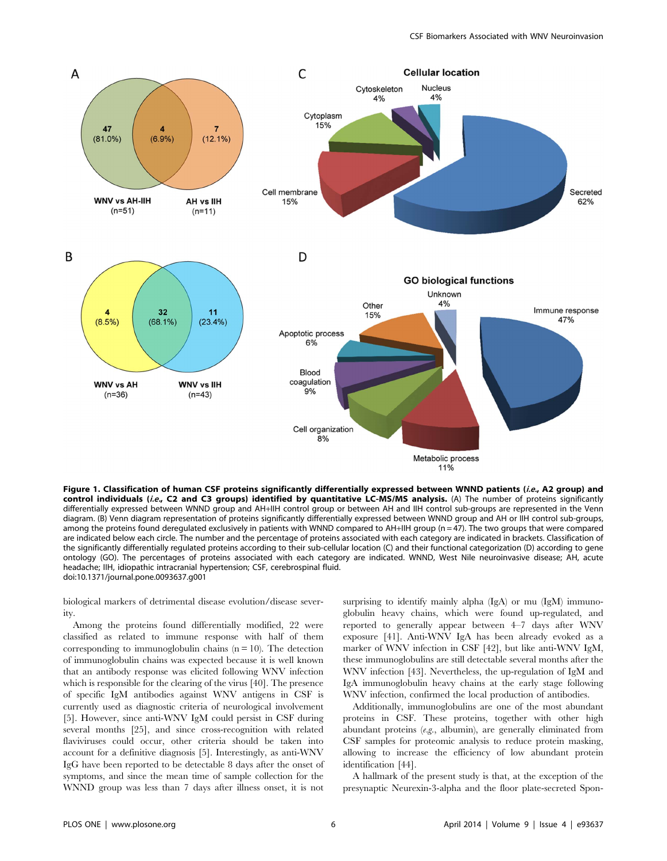

Figure 1. Classification of human CSF proteins significantly differentially expressed between WNND patients (i.e., A2 group) and control individuals (i.e., C2 and C3 groups) identified by quantitative LC-MS/MS analysis. (A) The number of proteins significantly differentially expressed between WNND group and AH+IIH control group or between AH and IIH control sub-groups are represented in the Venn diagram. (B) Venn diagram representation of proteins significantly differentially expressed between WNND group and AH or IIH control sub-groups, among the proteins found deregulated exclusively in patients with WNND compared to AH+IIH group ( $n = 47$ ). The two groups that were compared are indicated below each circle. The number and the percentage of proteins associated with each category are indicated in brackets. Classification of the significantly differentially regulated proteins according to their sub-cellular location (C) and their functional categorization (D) according to gene ontology (GO). The percentages of proteins associated with each category are indicated. WNND, West Nile neuroinvasive disease; AH, acute headache; IIH, idiopathic intracranial hypertension; CSF, cerebrospinal fluid. doi:10.1371/journal.pone.0093637.g001

biological markers of detrimental disease evolution/disease severity.

Among the proteins found differentially modified, 22 were classified as related to immune response with half of them corresponding to immunoglobulin chains  $(n = 10)$ . The detection of immunoglobulin chains was expected because it is well known that an antibody response was elicited following WNV infection which is responsible for the clearing of the virus [40]. The presence of specific IgM antibodies against WNV antigens in CSF is currently used as diagnostic criteria of neurological involvement [5]. However, since anti-WNV IgM could persist in CSF during several months [25], and since cross-recognition with related flaviviruses could occur, other criteria should be taken into account for a definitive diagnosis [5]. Interestingly, as anti-WNV IgG have been reported to be detectable 8 days after the onset of symptoms, and since the mean time of sample collection for the WNND group was less than 7 days after illness onset, it is not surprising to identify mainly alpha (IgA) or mu (IgM) immunoglobulin heavy chains, which were found up-regulated, and reported to generally appear between 4–7 days after WNV exposure [41]. Anti-WNV IgA has been already evoked as a marker of WNV infection in CSF [42], but like anti-WNV IgM, these immunoglobulins are still detectable several months after the WNV infection [43]. Nevertheless, the up-regulation of IgM and IgA immunoglobulin heavy chains at the early stage following WNV infection, confirmed the local production of antibodies.

Additionally, immunoglobulins are one of the most abundant proteins in CSF. These proteins, together with other high abundant proteins  $(e.g.,$  albumin), are generally eliminated from CSF samples for proteomic analysis to reduce protein masking, allowing to increase the efficiency of low abundant protein identification [44].

A hallmark of the present study is that, at the exception of the presynaptic Neurexin-3-alpha and the floor plate-secreted Spon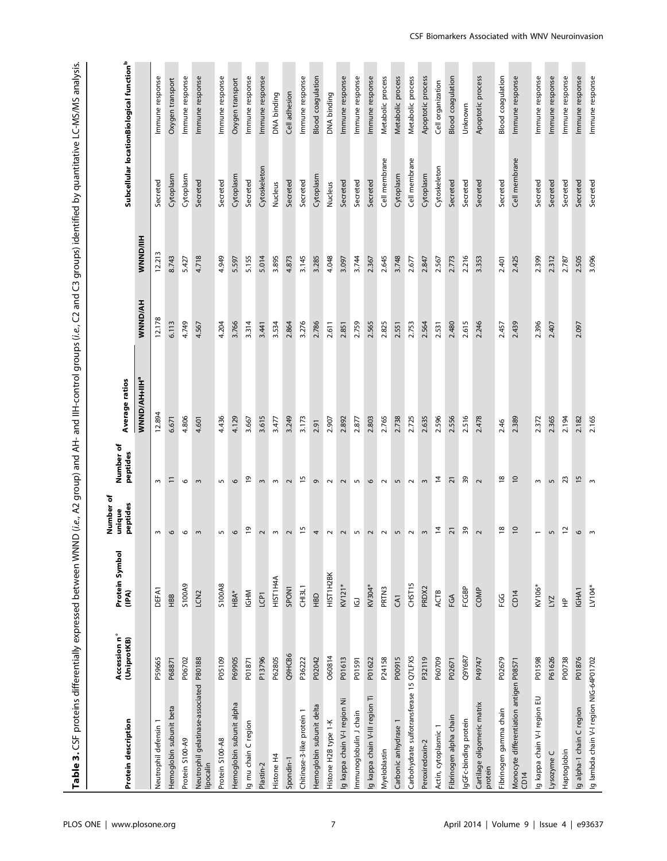Table 3. CSF proteins differentially expressed between WNND (i.e., A2 group) and AH- and IIH-control groups (i.e., C2 and C3 groups) identified by quantitative LC-MS/MS analysis. Table 3. CSF proteins differentially expressed between WNND (i.e., A2 group) and AH- and IIH-control groups (i.e., C2 and C3 groups) identified by quantitative LC-MS/MS analysis.

| Protein description                                  | Accession n°<br>(UniprotKB) | Protein Symbol<br>(IPA) | Number of<br>peptides<br>unique | Number of<br>peptides | Average ratios       |         |                 |               | Subcellular locationBiological function <sup>b</sup> |
|------------------------------------------------------|-----------------------------|-------------------------|---------------------------------|-----------------------|----------------------|---------|-----------------|---------------|------------------------------------------------------|
|                                                      |                             |                         |                                 |                       | <b>WNND/AH+IIH</b> * | WNND/AH | <b>WNND/IIH</b> |               |                                                      |
| Neutrophil defensin                                  | P59665                      | DEFA1                   | $\sim$                          | $\sim$                | 12.894               | 12.178  | 12.213          | Secreted      | Immune response                                      |
| Hemoglobin subunit beta                              | P68871                      | HBB                     | $\mathbf \circ$                 | Ξ                     | 6.671                | 6.113   | 8.743           | Cytoplasm     | Oxygen transport                                     |
| Protein S100-A9                                      | P06702                      | S100A9                  | 6                               | 6                     | 4.806                | 4.749   | 5.427           | Cytoplasm     | Immune response                                      |
| Neutrophil gelatinase-associated P80188<br>lipocalin |                             | LCN <sub>2</sub>        | $\sim$                          | $\sim$                | 4.601                | 4.567   | 4.718           | Secreted      | Immune response                                      |
| Protein S100-A8                                      | P05109                      | S100A8                  | $\overline{5}$                  | $\overline{5}$        | 4.436                | 4.204   | 4.949           | Secreted      | Immune response                                      |
| Hemoglobin subunit alpha                             | P69905                      | HBA*                    | $\circ$                         | 6                     | 4.129                | 3.766   | 5.597           | Cytoplasm     | Oxygen transport                                     |
| Ig mu chain C region                                 | P01871                      | <b>MHDI</b>             | $\overline{0}$                  | ڢ                     | 3.667                | 3.314   | 5.155           | Secreted      | Immune response                                      |
| Plastin-2                                            | P13796                      | LCPT                    | $\sim$                          | $\sim$                | 3.615                | 3.441   | 5.014           | Cytoskeleton  | Immune response                                      |
| Histone H4                                           | P62805                      | HIST1H4A                | $\sim$                          | $\sim$                | 3.477                | 3.534   | 3.895           | Nucleus       | DNA binding                                          |
| Spondin-1                                            | Q9HCB6                      | SPON1                   | $\sim$                          | $\sim$                | 3.249                | 2.864   | 4.873           | Secreted      | Cell adhesion                                        |
| Chitinase-3-like protein 1                           | P36222                      | CHISL1                  | 15                              | ٢5                    | 3.173                | 3.276   | 3.145           | Secreted      | Immune response                                      |
| Hemoglobin subunit delta                             | P02042                      | $rac{1}{2}$             | 4                               | $\sigma$              | 2.91                 | 2.786   | 3.285           | Cytoplasm     | <b>Blood</b> coagulation                             |
| Histone H2B type 1-K                                 | 060814                      | HIST1H2BK               | $\sim$                          | $\sim$                | 2.907                | 2.611   | 4.048           | Nucleus       | DNA binding                                          |
| g kappa chain V-I region Ni                          | P01613                      | KV121*                  | $\sim$                          | $\sim$                | 2.892                | 2.851   | 3.097           | Secreted      | Immune response                                      |
| Immunoglobulin J chain                               | P01591                      | $\bf \Xi$               | $\mathsf{L}\cap$                | $\overline{5}$        | 2.877                | 2.759   | 3.744           | Secreted      | Immune response                                      |
| Ig kappa chain V-III region Ti                       | P01622                      | KV304*                  | $\sim$                          | $\mathbf \circ$       | 2.803                | 2.565   | 2.367           | Secreted      | Immune response                                      |
| Myeloblastin                                         | P <sub>24158</sub>          | PRTN3                   | $\sim$                          | $\sim$                | 2.765                | 2.825   | 2.645           | Cell membrane | Metabolic process                                    |
| Carbonic anhydrase 1                                 | P00915                      | CA1                     | 5                               | 5                     | 2.738                | 2.551   | 3.748           | Cytoplasm     | Metabolic process                                    |
| Carbohydrate sulfotransferase 15 Q7LFX5              |                             | CHST15                  | $\sim$                          | $\sim$                | 2.725                | 2.753   | 2.677           | Cell membrane | Metabolic process                                    |
| Peroxiredoxin-2                                      | P32119                      | PRDX2                   | $\sim$                          | $\sim$                | 2.635                | 2.564   | 2.847           | Cytoplasm     | Apoptotic process                                    |
| Actin, cytoplasmic 1                                 | P60709                      | ACTB                    | $\overline{a}$                  | $\overline{4}$        | 2.596                | 2.531   | 2.567           | Cytoskeleton  | Cell organization                                    |
| Fibrinogen alpha chain                               | P02671                      | FGA                     | $\overline{2}$                  | ត                     | 2.556                | 2.480   | 2.773           | Secreted      | Blood coagulation                                    |
| IgGFc-binding protein                                | Q9Y6R7                      | FCGBP                   | $39$                            | 39                    | 2.516                | 2.615   | 2.216           | Secreted      | Unknown                                              |
| Cartilage oligomeric matrix<br>protein               | P49747                      | COMP                    | $\sim$                          | $\sim$                | 2.478                | 2.246   | 3.353           | Secreted      | Apoptotic process                                    |
| Fibrinogen gamma chain                               | P02679                      | မိုင္                   | $\frac{8}{2}$                   | $\frac{8}{2}$         | 2.46                 | 2.457   | 2.401           | Secreted      | Blood coagulation                                    |
| Monocyte differentiation antigen P08571<br>CD14      |                             | CD14                    | $\overline{10}$                 | $\overline{0}$        | 2.389                | 2.439   | 2.425           | Cell membrane | Immune response                                      |
| Ig kappa chain V-I region EU                         | P01598                      | KV106*                  | $\overline{\phantom{0}}$        | $\sim$                | 2.372                | 2.396   | 2.399           | Secreted      | Immune response                                      |
| Lysozyme C                                           | P61626                      | LYZ                     | $\sqrt{2}$                      | 5                     | 2.365                | 2.407   | 2.312           | Secreted      | Immune response                                      |
| Haptoglobin                                          | P00738                      | $\triangleq$            | $\approx$                       | 23                    | 2.194                |         | 2.787           | Secreted      | Immune response                                      |
| Ig alpha-1 chain C region                            | P01876                      | IGHA1                   | $\circ$                         | $\frac{5}{2}$         | 2.182                | 2.097   | 2.505           | Secreted      | Immune response                                      |
| Ig lambda chain V-I region NIG-64P01702              |                             | LV104*                  | $\mathsf{S}$                    | $\mathsf{m}$          | 2.165                |         | 3.096           | Secreted      | Immune response                                      |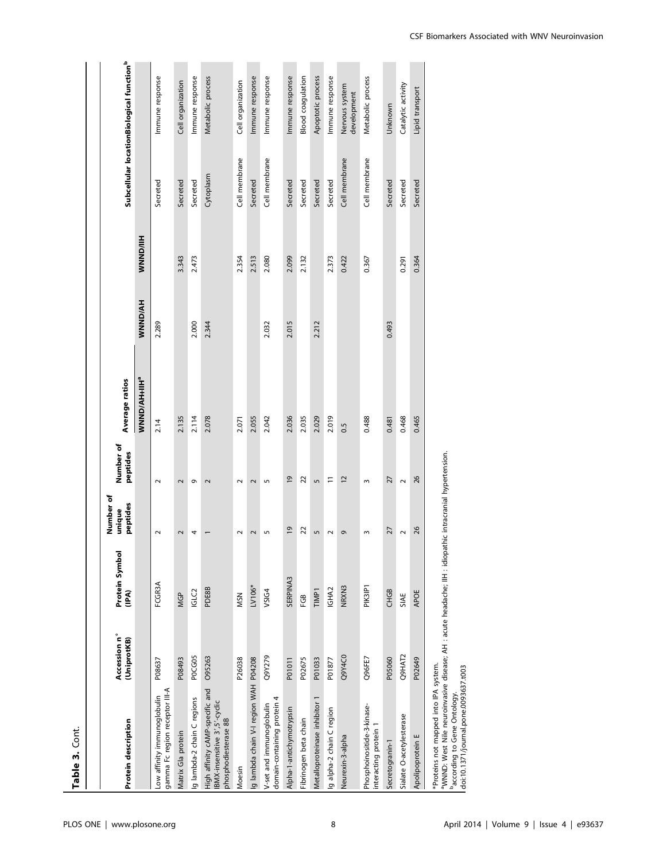| ۴           |
|-------------|
| a<br>ı<br>ī |

| Protein description                                                                                                                                                                                                                               | Accession n°<br>(UniprotKB) | Protein Symbol<br>(IPA) | Number of<br>peptides<br>unique | Number of<br>peptides   | <b>Average ratios</b>           |         |                 |               | Subcellular locationBiological function <sup>b</sup> |
|---------------------------------------------------------------------------------------------------------------------------------------------------------------------------------------------------------------------------------------------------|-----------------------------|-------------------------|---------------------------------|-------------------------|---------------------------------|---------|-----------------|---------------|------------------------------------------------------|
|                                                                                                                                                                                                                                                   |                             |                         |                                 |                         | <b>WNND/AH+IIH</b> <sup>ª</sup> | WNND/AH | <b>WNND/IIH</b> |               |                                                      |
| gamma Fc region receptor III-A<br>Low affinity immunoglobulin                                                                                                                                                                                     | P08637                      | FCGR3A                  | $\sim$                          | $\sim$                  | 2.14                            | 2.289   |                 | Secreted      | Immune response                                      |
| Matrix Gla protein                                                                                                                                                                                                                                | P08493                      | <b>MGP</b>              | 2                               | $\overline{\mathsf{C}}$ | 2.135                           |         | 3.343           | Secreted      | Cell organization                                    |
| Ig lambda-2 chain C regions                                                                                                                                                                                                                       | POCGOS                      | IGLC <sub>2</sub>       | 4                               | G                       | 2.114                           | 2.000   | 2.473           | Secreted      | Immune response                                      |
| High affinity cAMP-specific and<br>IBMX-insensitive 3', 5'-cyclic<br>phosphodiesterase 8B                                                                                                                                                         | 095263                      | <b>PDE8B</b>            |                                 | 2                       | 2.078                           | 2.344   |                 | Cytoplasm     | Metabolic process                                    |
| Moesin                                                                                                                                                                                                                                            | P26038                      | <b>MSN</b>              | $\sim$                          | $\sim$                  | 2.071                           |         | 2.354           | Cell membrane | Cell organization                                    |
| Ig lambda chain V-I region WAH P04208                                                                                                                                                                                                             |                             | LV106*                  | $\overline{\mathsf{C}}$         | 2                       | 2.055                           |         | 2.513           | Secreted      | Immune response                                      |
| domain-containing protein 4<br>V-set and immunoglobulin                                                                                                                                                                                           | Q9Y279                      | VSIG4                   | S                               | S                       | 2.042                           | 2.032   | 2.080           | Cell membrane | Immune response                                      |
| Alpha-1-antichymotrypsin                                                                                                                                                                                                                          | P01011                      | SERPINA3                | $\overline{0}$                  | $\overline{9}$          | 2.036                           | 2.015   | 2.099           | Secreted      | Immune response                                      |
| Fibrinogen beta chain                                                                                                                                                                                                                             | P02675                      | දී                      | 22                              | 22                      | 2.035                           |         | 2.132           | Secreted      | Blood coagulation                                    |
| Metalloproteinase inhibitor 1                                                                                                                                                                                                                     | P01033                      | <b>TIMP1</b>            | 5                               | 5                       | 2.029                           | 2.212   |                 | Secreted      | Apoptotic process                                    |
| Ig alpha-2 chain C region                                                                                                                                                                                                                         | P01877                      | IGHA2                   | $\sim$                          | $\equiv$                | 2.019                           |         | 2.373           | Secreted      | Immune response                                      |
| Neurexin-3-alpha                                                                                                                                                                                                                                  | Q9Y4C0                      | NRXN3                   | G                               | 12                      | 0.5                             |         | 0.422           | Cell membrane | Nervous system<br>development                        |
| Phosphoinositide-3-kinase-<br>interacting protein 1                                                                                                                                                                                               | Q96FE7                      | PIK3IP1                 | $\sim$                          | $\mathsf{S}$            | 0.488                           |         | 0.367           | Cell membrane | Metabolic process                                    |
| Secretogranin-1                                                                                                                                                                                                                                   | P05060                      | <b>CHGB</b>             | 27                              | 27                      | 0.481                           | 0.493   |                 | Secreted      | Unknown                                              |
| Sialate O-acetylesterase                                                                                                                                                                                                                          | Q9HAT2                      | SIAE                    | $\sim$                          | $\sim$                  | 0.468                           |         | 0.291           | Secreted      | Catalytic activity                                   |
| Apolipoprotein E                                                                                                                                                                                                                                  | P02649                      | <b>APOE</b>             | 26                              | 26                      | 0.465                           |         | 0.364           | Secreted      | Lipid transport                                      |
| <sup>a</sup> MNND: West Nile neuroinvasive disease; AH : acute headache; IH : idiopathic intracranial hypertension.<br>*Proteins not mapped into IPA system.<br>doi:10.1371/journal.pone.0093637.t003<br><sup>b</sup> according to Gene Ontology. |                             |                         |                                 |                         |                                 |         |                 |               |                                                      |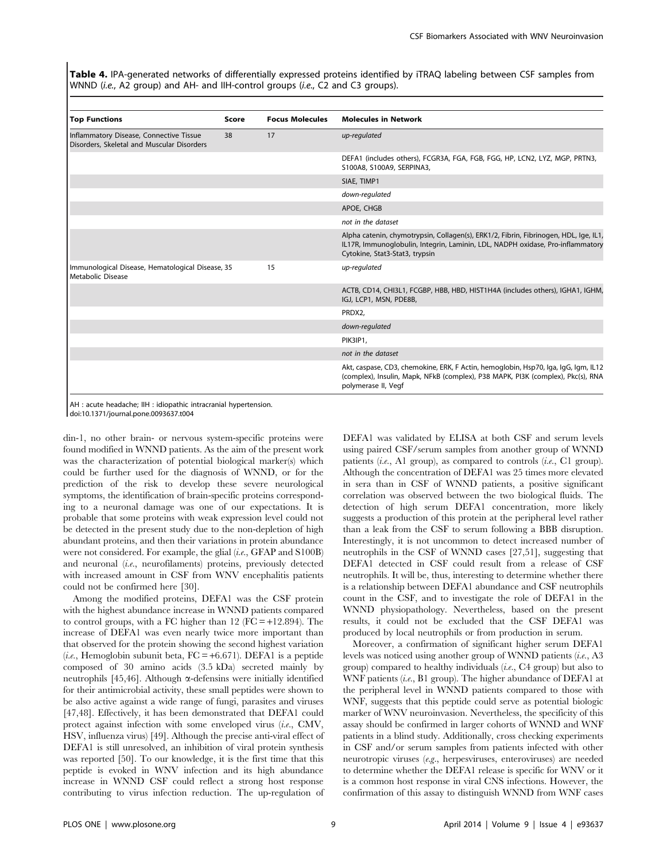Table 4. IPA-generated networks of differentially expressed proteins identified by iTRAQ labeling between CSF samples from WNND (i.e., A2 group) and AH- and IIH-control groups (i.e., C2 and C3 groups).

| <b>Top Functions</b>                                                                  | Score | <b>Focus Molecules</b> | <b>Molecules in Network</b>                                                                                                                                                                              |
|---------------------------------------------------------------------------------------|-------|------------------------|----------------------------------------------------------------------------------------------------------------------------------------------------------------------------------------------------------|
| Inflammatory Disease, Connective Tissue<br>Disorders, Skeletal and Muscular Disorders | 38    | 17                     | up-regulated                                                                                                                                                                                             |
|                                                                                       |       |                        | DEFA1 (includes others), FCGR3A, FGA, FGB, FGG, HP, LCN2, LYZ, MGP, PRTN3,<br>S100A8, S100A9, SERPINA3,                                                                                                  |
|                                                                                       |       |                        | SIAE, TIMP1                                                                                                                                                                                              |
|                                                                                       |       |                        | down-regulated                                                                                                                                                                                           |
|                                                                                       |       |                        | APOE, CHGB                                                                                                                                                                                               |
|                                                                                       |       |                        | not in the dataset                                                                                                                                                                                       |
|                                                                                       |       |                        | Alpha catenin, chymotrypsin, Collagen(s), ERK1/2, Fibrin, Fibrinogen, HDL, Ige, IL1,<br>IL17R, Immunoglobulin, Integrin, Laminin, LDL, NADPH oxidase, Pro-inflammatory<br>Cytokine, Stat3-Stat3, trypsin |
| Immunological Disease, Hematological Disease, 35<br>Metabolic Disease                 |       | 15                     | up-regulated                                                                                                                                                                                             |
|                                                                                       |       |                        | ACTB, CD14, CHI3L1, FCGBP, HBB, HBD, HIST1H4A (includes others), IGHA1, IGHM,<br>IGJ, LCP1, MSN, PDE8B,                                                                                                  |
|                                                                                       |       |                        | PRDX2,                                                                                                                                                                                                   |
|                                                                                       |       |                        | down-regulated                                                                                                                                                                                           |
|                                                                                       |       |                        | PIK3IP1,                                                                                                                                                                                                 |
|                                                                                       |       |                        | not in the dataset                                                                                                                                                                                       |
|                                                                                       |       |                        | Akt, caspase, CD3, chemokine, ERK, F Actin, hemoglobin, Hsp70, Iga, IgG, Igm, IL12<br>(complex), Insulin, Mapk, NFkB (complex), P38 MAPK, PI3K (complex), Pkc(s), RNA<br>polymerase II, Vegf             |

AH : acute headache; IIH : idiopathic intracranial hypertension. doi:10.1371/journal.pone.0093637.t004

din-1, no other brain- or nervous system-specific proteins were found modified in WNND patients. As the aim of the present work was the characterization of potential biological marker(s) which could be further used for the diagnosis of WNND, or for the prediction of the risk to develop these severe neurological symptoms, the identification of brain-specific proteins corresponding to a neuronal damage was one of our expectations. It is probable that some proteins with weak expression level could not be detected in the present study due to the non-depletion of high abundant proteins, and then their variations in protein abundance were not considered. For example, the glial (i.e., GFAP and S100B) and neuronal (i.e., neurofilaments) proteins, previously detected with increased amount in CSF from WNV encephalitis patients could not be confirmed here [30].

Among the modified proteins, DEFA1 was the CSF protein with the highest abundance increase in WNND patients compared to control groups, with a FC higher than  $12$  (FC = +12.894). The increase of DEFA1 was even nearly twice more important than that observed for the protein showing the second highest variation (*i.e.*, Hemoglobin subunit beta,  $FC = +6.671$ ). DEFA1 is a peptide composed of 30 amino acids (3.5 kDa) secreted mainly by neutrophils [45,46]. Although  $\alpha$ -defensins were initially identified for their antimicrobial activity, these small peptides were shown to be also active against a wide range of fungi, parasites and viruses [47,48]. Effectively, it has been demonstrated that DEFA1 could protect against infection with some enveloped virus (i.e., CMV, HSV, influenza virus) [49]. Although the precise anti-viral effect of DEFA1 is still unresolved, an inhibition of viral protein synthesis was reported [50]. To our knowledge, it is the first time that this peptide is evoked in WNV infection and its high abundance increase in WNND CSF could reflect a strong host response contributing to virus infection reduction. The up-regulation of DEFA1 was validated by ELISA at both CSF and serum levels using paired CSF/serum samples from another group of WNND patients  $(i.e., A1 group)$ , as compared to controls  $(i.e., C1 group)$ . Although the concentration of DEFA1 was 25 times more elevated in sera than in CSF of WNND patients, a positive significant correlation was observed between the two biological fluids. The detection of high serum DEFA1 concentration, more likely suggests a production of this protein at the peripheral level rather than a leak from the CSF to serum following a BBB disruption. Interestingly, it is not uncommon to detect increased number of neutrophils in the CSF of WNND cases [27,51], suggesting that DEFA1 detected in CSF could result from a release of CSF neutrophils. It will be, thus, interesting to determine whether there is a relationship between DEFA1 abundance and CSF neutrophils count in the CSF, and to investigate the role of DEFA1 in the WNND physiopathology. Nevertheless, based on the present results, it could not be excluded that the CSF DEFA1 was produced by local neutrophils or from production in serum.

Moreover, a confirmation of significant higher serum DEFA1 levels was noticed using another group of WNND patients (i.e., A3 group) compared to healthy individuals  $(i.e., C4$  group) but also to WNF patients (i.e., B1 group). The higher abundance of DEFA1 at the peripheral level in WNND patients compared to those with WNF, suggests that this peptide could serve as potential biologic marker of WNV neuroinvasion. Nevertheless, the specificity of this assay should be confirmed in larger cohorts of WNND and WNF patients in a blind study. Additionally, cross checking experiments in CSF and/or serum samples from patients infected with other neurotropic viruses (e.g., herpesviruses, enteroviruses) are needed to determine whether the DEFA1 release is specific for WNV or it is a common host response in viral CNS infections. However, the confirmation of this assay to distinguish WNND from WNF cases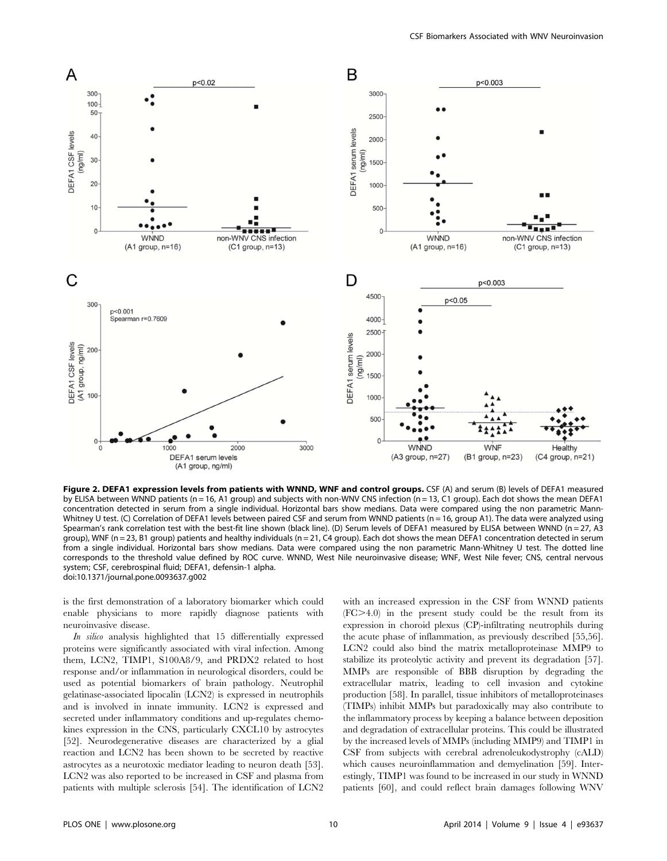

Figure 2. DEFA1 expression levels from patients with WNND, WNF and control groups. CSF (A) and serum (B) levels of DEFA1 measured by ELISA between WNND patients (n = 16, A1 group) and subjects with non-WNV CNS infection (n = 13, C1 group). Each dot shows the mean DEFA1 concentration detected in serum from a single individual. Horizontal bars show medians. Data were compared using the non parametric Mann-Whitney U test. (C) Correlation of DEFA1 levels between paired CSF and serum from WNND patients (n = 16, group A1). The data were analyzed using Spearman's rank correlation test with the best-fit line shown (black line). (D) Serum levels of DEFA1 measured by ELISA between WNND (n = 27, A3 group), WNF (n = 23, B1 group) patients and healthy individuals (n = 21, C4 group). Each dot shows the mean DEFA1 concentration detected in serum from a single individual. Horizontal bars show medians. Data were compared using the non parametric Mann-Whitney U test. The dotted line corresponds to the threshold value defined by ROC curve. WNND, West Nile neuroinvasive disease; WNF, West Nile fever; CNS, central nervous system; CSF, cerebrospinal fluid; DEFA1, defensin-1 alpha. doi:10.1371/journal.pone.0093637.g002

is the first demonstration of a laboratory biomarker which could enable physicians to more rapidly diagnose patients with neuroinvasive disease.

In silico analysis highlighted that 15 differentially expressed proteins were significantly associated with viral infection. Among them, LCN2, TIMP1, S100A8/9, and PRDX2 related to host response and/or inflammation in neurological disorders, could be used as potential biomarkers of brain pathology. Neutrophil gelatinase-associated lipocalin (LCN2) is expressed in neutrophils and is involved in innate immunity. LCN2 is expressed and secreted under inflammatory conditions and up-regulates chemokines expression in the CNS, particularly CXCL10 by astrocytes [52]. Neurodegenerative diseases are characterized by a glial reaction and LCN2 has been shown to be secreted by reactive astrocytes as a neurotoxic mediator leading to neuron death [53]. LCN2 was also reported to be increased in CSF and plasma from patients with multiple sclerosis [54]. The identification of LCN2

with an increased expression in the CSF from WNND patients  $(FC>4.0)$  in the present study could be the result from its expression in choroid plexus (CP)-infiltrating neutrophils during the acute phase of inflammation, as previously described [55,56]. LCN2 could also bind the matrix metalloproteinase MMP9 to stabilize its proteolytic activity and prevent its degradation [57]. MMPs are responsible of BBB disruption by degrading the extracellular matrix, leading to cell invasion and cytokine production [58]. In parallel, tissue inhibitors of metalloproteinases (TIMPs) inhibit MMPs but paradoxically may also contribute to the inflammatory process by keeping a balance between deposition and degradation of extracellular proteins. This could be illustrated by the increased levels of MMPs (including MMP9) and TIMP1 in CSF from subjects with cerebral adrenoleukodystrophy (cALD) which causes neuroinflammation and demyelination [59]. Interestingly, TIMP1 was found to be increased in our study in WNND patients [60], and could reflect brain damages following WNV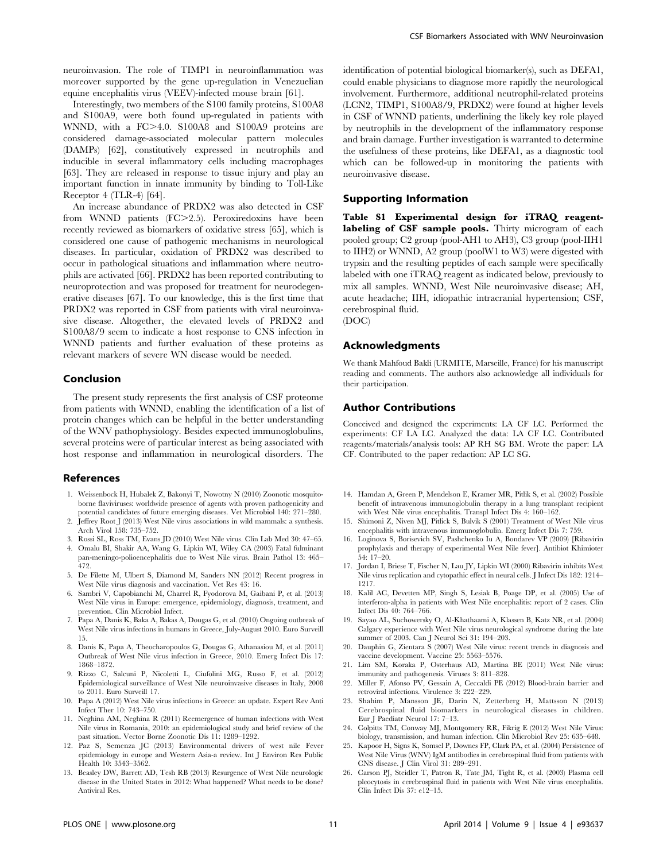neuroinvasion. The role of TIMP1 in neuroinflammation was moreover supported by the gene up-regulation in Venezuelian equine encephalitis virus (VEEV)-infected mouse brain [61].

Interestingly, two members of the S100 family proteins, S100A8 and S100A9, were both found up-regulated in patients with WNND, with a FC $>4.0$ . S100A8 and S100A9 proteins are considered damage-associated molecular pattern molecules (DAMPs) [62], constitutively expressed in neutrophils and inducible in several inflammatory cells including macrophages [63]. They are released in response to tissue injury and play an important function in innate immunity by binding to Toll-Like Receptor 4 (TLR-4) [64].

An increase abundance of PRDX2 was also detected in CSF from WNND patients (FC>2.5). Peroxiredoxins have been recently reviewed as biomarkers of oxidative stress [65], which is considered one cause of pathogenic mechanisms in neurological diseases. In particular, oxidation of PRDX2 was described to occur in pathological situations and inflammation where neutrophils are activated [66]. PRDX2 has been reported contributing to neuroprotection and was proposed for treatment for neurodegenerative diseases [67]. To our knowledge, this is the first time that PRDX2 was reported in CSF from patients with viral neuroinvasive disease. Altogether, the elevated levels of PRDX2 and S100A8/9 seem to indicate a host response to CNS infection in WNND patients and further evaluation of these proteins as relevant markers of severe WN disease would be needed.

# Conclusion

The present study represents the first analysis of CSF proteome from patients with WNND, enabling the identification of a list of protein changes which can be helpful in the better understanding of the WNV pathophysiology. Besides expected immunoglobulins, several proteins were of particular interest as being associated with host response and inflammation in neurological disorders. The

#### References

- 1. Weissenbock H, Hubalek Z, Bakonyi T, Nowotny N (2010) Zoonotic mosquitoborne flaviviruses: worldwide presence of agents with proven pathogenicity and potential candidates of future emerging diseases. Vet Microbiol 140: 271–280.
- 2. Jeffrey Root J (2013) West Nile virus associations in wild mammals: a synthesis. Arch Virol 158: 735–752.
- 3. Rossi SL, Ross TM, Evans JD (2010) West Nile virus. Clin Lab Med 30: 47–65. 4. Omalu BI, Shakir AA, Wang G, Lipkin WI, Wiley CA (2003) Fatal fulminant
- pan-meningo-polioencephalitis due to West Nile virus. Brain Pathol 13: 465– 472.
- 5. De Filette M, Ulbert S, Diamond M, Sanders NN (2012) Recent progress in West Nile virus diagnosis and vaccination. Vet Res 43: 16.
- 6. Sambri V, Capobianchi M, Charrel R, Fyodorova M, Gaibani P, et al. (2013) West Nile virus in Europe: emergence, epidemiology, diagnosis, treatment, and prevention. Clin Microbiol Infect.
- 7. Papa A, Danis K, Baka A, Bakas A, Dougas G, et al. (2010) Ongoing outbreak of West Nile virus infections in humans in Greece, July-August 2010. Euro Surveill 15.
- 8. Danis K, Papa A, Theocharopoulos G, Dougas G, Athanasiou M, et al. (2011) Outbreak of West Nile virus infection in Greece, 2010. Emerg Infect Dis 17: 1868–1872.
- 9. Rizzo C, Salcuni P, Nicoletti L, Ciufolini MG, Russo F, et al. (2012) Epidemiological surveillance of West Nile neuroinvasive diseases in Italy, 2008 to 2011. Euro Surveill 17.
- 10. Papa A (2012) West Nile virus infections in Greece: an update. Expert Rev Anti Infect Ther 10: 743–750.
- 11. Neghina AM, Neghina R (2011) Reemergence of human infections with West Nile virus in Romania, 2010: an epidemiological study and brief review of the past situation. Vector Borne Zoonotic Dis 11: 1289–1292.
- 12. Paz S, Semenza JC (2013) Environmental drivers of west nile Fever epidemiology in europe and Western Asia-a review. Int J Environ Res Public Health 10: 3543–3562.
- 13. Beasley DW, Barrett AD, Tesh RB (2013) Resurgence of West Nile neurologic disease in the United States in 2012: What happened? What needs to be done? Antiviral Res.

identification of potential biological biomarker(s), such as DEFA1, could enable physicians to diagnose more rapidly the neurological involvement. Furthermore, additional neutrophil-related proteins (LCN2, TIMP1, S100A8/9, PRDX2) were found at higher levels in CSF of WNND patients, underlining the likely key role played by neutrophils in the development of the inflammatory response and brain damage. Further investigation is warranted to determine the usefulness of these proteins, like DEFA1, as a diagnostic tool which can be followed-up in monitoring the patients with neuroinvasive disease.

#### Supporting Information

Table S1 Experimental design for iTRAQ reagentlabeling of CSF sample pools. Thirty microgram of each pooled group; C2 group (pool-AH1 to AH3), C3 group (pool-IIH1 to IIH2) or WNND, A2 group (poolW1 to W3) were digested with trypsin and the resulting peptides of each sample were specifically labeled with one iTRAQ reagent as indicated below, previously to mix all samples. WNND, West Nile neuroinvasive disease; AH, acute headache; IIH, idiopathic intracranial hypertension; CSF, cerebrospinal fluid.

(DOC)

#### Acknowledgments

We thank Mahfoud Bakli (URMITE, Marseille, France) for his manuscript reading and comments. The authors also acknowledge all individuals for their participation.

# Author Contributions

Conceived and designed the experiments: LA CF LC. Performed the experiments: CF LA LC. Analyzed the data: LA CF LC. Contributed reagents/materials/analysis tools: AP RH SG BM. Wrote the paper: LA CF. Contributed to the paper redaction: AP LC SG.

- 14. Hamdan A, Green P, Mendelson E, Kramer MR, Pitlik S, et al. (2002) Possible benefit of intravenous immunoglobulin therapy in a lung transplant recipient with West Nile virus encephalitis. Transpl Infect Dis 4: 160–162.
- 15. Shimoni Z, Niven MJ, Pitlick S, Bulvik S (2001) Treatment of West Nile virus encephalitis with intravenous immunoglobulin. Emerg Infect Dis 7: 759.
- 16. Loginova S, Borisevich SV, Pashchenko Iu A, Bondarev VP (2009) [Ribavirin prophylaxis and therapy of experimental West Nile fever]. Antibiot Khimioter 54: 17–20.
- 17. Jordan I, Briese T, Fischer N, Lau JY, Lipkin WI (2000) Ribavirin inhibits West Nile virus replication and cytopathic effect in neural cells. J Infect Dis 182: 1214– 1217.
- 18. Kalil AC, Devetten MP, Singh S, Lesiak B, Poage DP, et al. (2005) Use of interferon-alpha in patients with West Nile encephalitis: report of 2 cases. Clin Infect Dis 40: 764–766.
- 19. Sayao AL, Suchowersky O, Al-Khathaami A, Klassen B, Katz NR, et al. (2004) Calgary experience with West Nile virus neurological syndrome during the late summer of 2003. Can J Neurol Sci 31: 194–203.
- 20. Dauphin G, Zientara S (2007) West Nile virus: recent trends in diagnosis and vaccine development. Vaccine 25: 5563–5576.
- 21. Lim SM, Koraka P, Osterhaus AD, Martina BE (2011) West Nile virus: immunity and pathogenesis. Viruses 3: 811–828.
- 22. Miller F, Afonso PV, Gessain A, Ceccaldi PE (2012) Blood-brain barrier and retroviral infections. Virulence 3: 222–229.
- 23. Shahim P, Mansson JE, Darin N, Zetterberg H, Mattsson N (2013) Cerebrospinal fluid biomarkers in neurological diseases in children. Eur J Paediatr Neurol 17: 7–13.
- 24. Colpitts TM, Conway MJ, Montgomery RR, Fikrig E (2012) West Nile Virus: biology, transmission, and human infection. Clin Microbiol Rev 25: 635–648.
- 25. Kapoor H, Signs K, Somsel P, Downes FP, Clark PA, et al. (2004) Persistence of West Nile Virus (WNV) IgM antibodies in cerebrospinal fluid from patients with CNS disease. J Clin Virol 31: 289–291.
- 26. Carson PJ, Steidler T, Patron R, Tate JM, Tight R, et al. (2003) Plasma cell pleocytosis in cerebrospinal fluid in patients with West Nile virus encephalitis. Clin Infect Dis 37: e12–15.